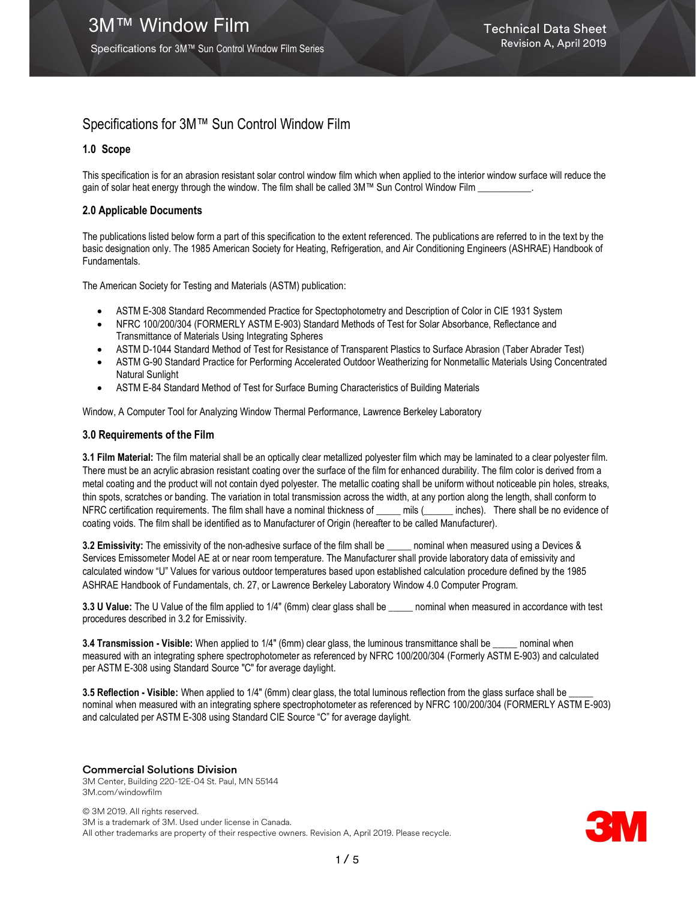# Specifications for 3M™ Sun Control Window Film

# 1.0 Scope

This specification is for an abrasion resistant solar control window film which when applied to the interior window surface will reduce the gain of solar heat energy through the window. The film shall be called 3M™ Sun Control Window Film \_\_\_\_\_\_\_\_\_\_\_.

## 2.0 Applicable Documents

The publications listed below form a part of this specification to the extent referenced. The publications are referred to in the text by the basic designation only. The 1985 American Society for Heating, Refrigeration, and Air Conditioning Engineers (ASHRAE) Handbook of Fundamentals.

The American Society for Testing and Materials (ASTM) publication:

- ASTM E-308 Standard Recommended Practice for Spectophotometry and Description of Color in CIE 1931 System
- NFRC 100/200/304 (FORMERLY ASTM E-903) Standard Methods of Test for Solar Absorbance, Reflectance and Transmittance of Materials Using Integrating Spheres
- ASTM D-1044 Standard Method of Test for Resistance of Transparent Plastics to Surface Abrasion (Taber Abrader Test)
- ASTM G-90 Standard Practice for Performing Accelerated Outdoor Weatherizing for Nonmetallic Materials Using Concentrated Natural Sunlight
- ASTM E-84 Standard Method of Test for Surface Burning Characteristics of Building Materials

Window, A Computer Tool for Analyzing Window Thermal Performance, Lawrence Berkeley Laboratory

## 3.0 Requirements of the Film

3.1 Film Material: The film material shall be an optically clear metallized polyester film which may be laminated to a clear polyester film. There must be an acrylic abrasion resistant coating over the surface of the film for enhanced durability. The film color is derived from a metal coating and the product will not contain dyed polyester. The metallic coating shall be uniform without noticeable pin holes, streaks, thin spots, scratches or banding. The variation in total transmission across the width, at any portion along the length, shall conform to NFRC certification requirements. The film shall have a nominal thickness of \_\_\_\_\_ mils (\_\_\_\_\_\_ inches). There shall be no evidence of coating voids. The film shall be identified as to Manufacturer of Origin (hereafter to be called Manufacturer).

3.2 Emissivity: The emissivity of the non-adhesive surface of the film shall be \_\_\_\_\_ nominal when measured using a Devices & Services Emissometer Model AE at or near room temperature. The Manufacturer shall provide laboratory data of emissivity and calculated window "U" Values for various outdoor temperatures based upon established calculation procedure defined by the 1985 ASHRAE Handbook of Fundamentals, ch. 27, or Lawrence Berkeley Laboratory Window 4.0 Computer Program.

3.3 U Value: The U Value of the film applied to 1/4" (6mm) clear glass shall be \_\_\_\_\_ nominal when measured in accordance with test procedures described in 3.2 for Emissivity.

3.4 Transmission - Visible: When applied to 1/4" (6mm) clear glass, the luminous transmittance shall be \_\_\_\_\_ nominal when measured with an integrating sphere spectrophotometer as referenced by NFRC 100/200/304 (Formerly ASTM E-903) and calculated per ASTM E-308 using Standard Source "C" for average daylight.

3.5 Reflection - Visible: When applied to 1/4" (6mm) clear glass, the total luminous reflection from the glass surface shall be nominal when measured with an integrating sphere spectrophotometer as referenced by NFRC 100/200/304 (FORMERLY ASTM E-903) and calculated per ASTM E-308 using Standard CIE Source "C" for average daylight.

## Commercial Solutions Division

3M Center, Building 220-12E-04 St. Paul, MN 55144 3M.com/windowfilm

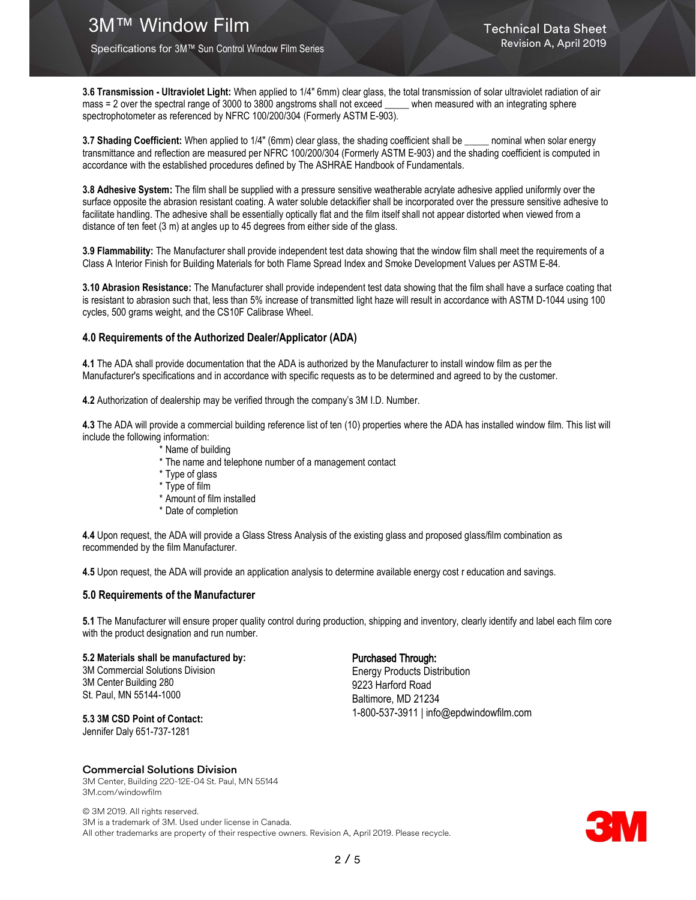Specifications for 3M™ Sun Control Window Film Series

3.6 Transmission - Ultraviolet Light: When applied to 1/4" 6mm) clear glass, the total transmission of solar ultraviolet radiation of air mass = 2 over the spectral range of 3000 to 3800 angstroms shall not exceed \_\_\_\_\_ when measured with an integrating sphere spectrophotometer as referenced by NFRC 100/200/304 (Formerly ASTM E-903).

3.7 Shading Coefficient: When applied to 1/4" (6mm) clear glass, the shading coefficient shall be \_\_\_\_\_ nominal when solar energy transmittance and reflection are measured per NFRC 100/200/304 (Formerly ASTM E-903) and the shading coefficient is computed in accordance with the established procedures defined by The ASHRAE Handbook of Fundamentals.

3.8 Adhesive System: The film shall be supplied with a pressure sensitive weatherable acrylate adhesive applied uniformly over the surface opposite the abrasion resistant coating. A water soluble detackifier shall be incorporated over the pressure sensitive adhesive to facilitate handling. The adhesive shall be essentially optically flat and the film itself shall not appear distorted when viewed from a distance of ten feet (3 m) at angles up to 45 degrees from either side of the glass.

3.9 Flammability: The Manufacturer shall provide independent test data showing that the window film shall meet the requirements of a Class A Interior Finish for Building Materials for both Flame Spread Index and Smoke Development Values per ASTM E-84.

3.10 Abrasion Resistance: The Manufacturer shall provide independent test data showing that the film shall have a surface coating that is resistant to abrasion such that, less than 5% increase of transmitted light haze will result in accordance with ASTM D-1044 using 100 cycles, 500 grams weight, and the CS10F Calibrase Wheel.

## 4.0 Requirements of the Authorized Dealer/Applicator (ADA)

4.1 The ADA shall provide documentation that the ADA is authorized by the Manufacturer to install window film as per the Manufacturer's specifications and in accordance with specific requests as to be determined and agreed to by the customer.

4.2 Authorization of dealership may be verified through the company's 3M I.D. Number.

4.3 The ADA will provide a commercial building reference list of ten (10) properties where the ADA has installed window film. This list will include the following information:

- \* Name of building
- \* The name and telephone number of a management contact
- \* Type of glass
- \* Type of film
- \* Amount of film installed
- \* Date of completion

4.4 Upon request, the ADA will provide a Glass Stress Analysis of the existing glass and proposed glass/film combination as recommended by the film Manufacturer.

4.5 Upon request, the ADA will provide an application analysis to determine available energy cost r education and savings.

#### 5.0 Requirements of the Manufacturer

5.1 The Manufacturer will ensure proper quality control during production, shipping and inventory, clearly identify and label each film core with the product designation and run number.

5.2 Materials shall be manufactured by: 3M Commercial Solutions Division

3M Center Building 280 St. Paul, MN 55144-1000

5.3 3M CSD Point of Contact:

#### Purchased Through:

Energy Products Distribution 9223 Harford Road Baltimore, MD 21234 1-800-537-3911 | info@epdwindowfilm.com

# Jennifer Daly 651-737-1281

#### Commercial Solutions Division

3M Center, Building 220-12E-04 St. Paul, MN 55144 3M.com/windowfilm

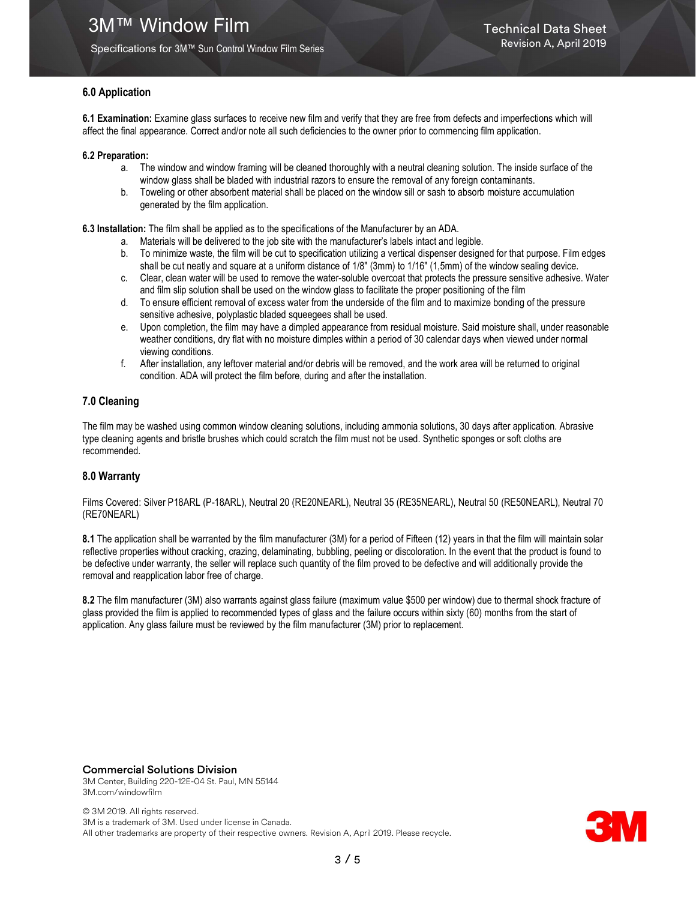Specifications for 3M™ Sun Control Window Film Series

## 6.0 Application

6.1 Examination: Examine glass surfaces to receive new film and verify that they are free from defects and imperfections which will affect the final appearance. Correct and/or note all such deficiencies to the owner prior to commencing film application.

#### 6.2 Preparation:

- a. The window and window framing will be cleaned thoroughly with a neutral cleaning solution. The inside surface of the window glass shall be bladed with industrial razors to ensure the removal of any foreign contaminants.
- b. Toweling or other absorbent material shall be placed on the window sill or sash to absorb moisture accumulation generated by the film application.

6.3 Installation: The film shall be applied as to the specifications of the Manufacturer by an ADA.

- a. Materials will be delivered to the job site with the manufacturer's labels intact and legible.
- b. To minimize waste, the film will be cut to specification utilizing a vertical dispenser designed for that purpose. Film edges shall be cut neatly and square at a uniform distance of 1/8" (3mm) to 1/16" (1,5mm) of the window sealing device.
- c. Clear, clean water will be used to remove the water-soluble overcoat that protects the pressure sensitive adhesive. Water and film slip solution shall be used on the window glass to facilitate the proper positioning of the film
- d. To ensure efficient removal of excess water from the underside of the film and to maximize bonding of the pressure sensitive adhesive, polyplastic bladed squeegees shall be used.
- e. Upon completion, the film may have a dimpled appearance from residual moisture. Said moisture shall, under reasonable weather conditions, dry flat with no moisture dimples within a period of 30 calendar days when viewed under normal viewing conditions.
- f. After installation, any leftover material and/or debris will be removed, and the work area will be returned to original condition. ADA will protect the film before, during and after the installation.

## 7.0 Cleaning

The film may be washed using common window cleaning solutions, including ammonia solutions, 30 days after application. Abrasive type cleaning agents and bristle brushes which could scratch the film must not be used. Synthetic sponges or soft cloths are recommended.

## 8.0 Warranty

Films Covered: Silver P18ARL (P-18ARL), Neutral 20 (RE20NEARL), Neutral 35 (RE35NEARL), Neutral 50 (RE50NEARL), Neutral 70 (RE70NEARL)

8.1 The application shall be warranted by the film manufacturer (3M) for a period of Fifteen (12) years in that the film will maintain solar reflective properties without cracking, crazing, delaminating, bubbling, peeling or discoloration. In the event that the product is found to be defective under warranty, the seller will replace such quantity of the film proved to be defective and will additionally provide the removal and reapplication labor free of charge.

8.2 The film manufacturer (3M) also warrants against glass failure (maximum value \$500 per window) due to thermal shock fracture of glass provided the film is applied to recommended types of glass and the failure occurs within sixty (60) months from the start of application. Any glass failure must be reviewed by the film manufacturer (3M) prior to replacement.

#### Commercial Solutions Division

3M Center, Building 220-12E-04 St. Paul, MN 55144 3M.com/windowfilm

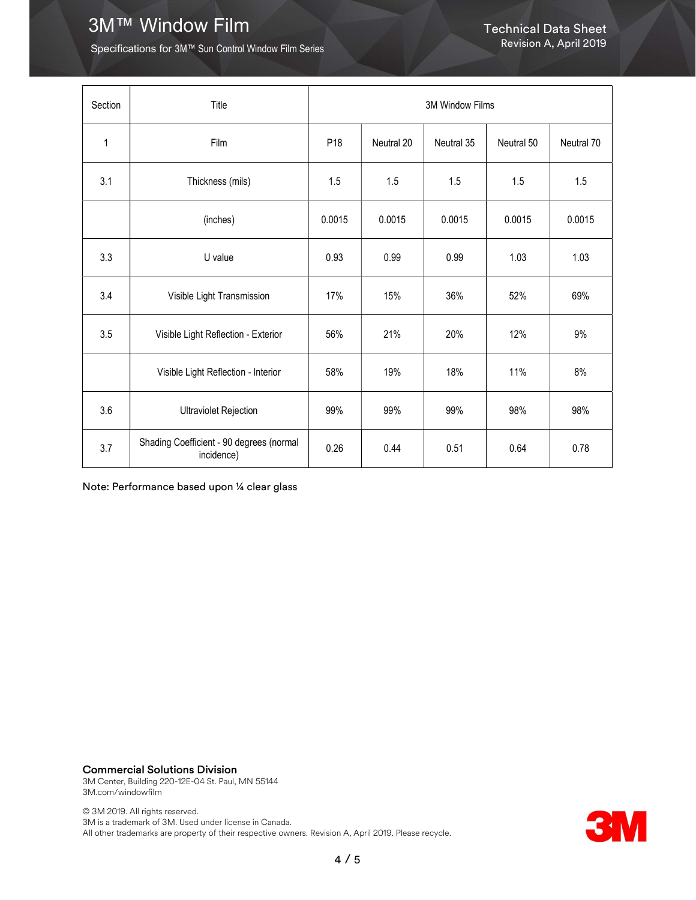# 3M™ Window Film Technical Data Sheet

Specifications for 3M™ Sun Control Window Film Series

| Section | Title                                                  | 3M Window Films |            |            |            |            |
|---------|--------------------------------------------------------|-----------------|------------|------------|------------|------------|
| 1       | Film                                                   | P <sub>18</sub> | Neutral 20 | Neutral 35 | Neutral 50 | Neutral 70 |
| 3.1     | Thickness (mils)                                       | 1.5             | 1.5        | 1.5        | 1.5        | 1.5        |
|         | (inches)                                               | 0.0015          | 0.0015     | 0.0015     | 0.0015     | 0.0015     |
| 3.3     | U value                                                | 0.93            | 0.99       | 0.99       | 1.03       | 1.03       |
| 3.4     | Visible Light Transmission                             | 17%             | 15%        | 36%        | 52%        | 69%        |
| 3.5     | Visible Light Reflection - Exterior                    | 56%             | 21%        | 20%        | 12%        | 9%         |
|         | Visible Light Reflection - Interior                    | 58%             | 19%        | 18%        | 11%        | 8%         |
| 3.6     | <b>Ultraviolet Rejection</b>                           | 99%             | 99%        | 99%        | 98%        | 98%        |
| 3.7     | Shading Coefficient - 90 degrees (normal<br>incidence) | 0.26            | 0.44       | 0.51       | 0.64       | 0.78       |

Note: Performance based upon ¼ clear glass

Commercial Solutions Division

3M Center, Building 220-12E-04 St. Paul, MN 55144 3M.com/windowfilm